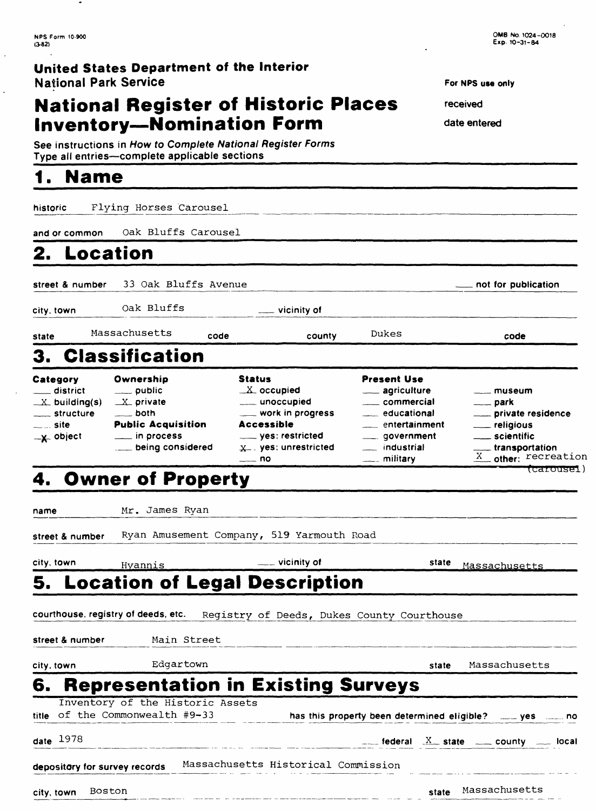$\overline{\texttt{(carouset)}}$ 

### **United States Department of the Interior** National Park Service

# **National Register of Historic Places Inational Park Service**<br> **National Register of Historic Places** For NPS use on<br> **Inventory—Nomination Form** date entered

**See instructions in How to Complete National Register Forms Inventory—Nomination Form**<br>See instructions in How to Complete National Register Form<br>Type all entries—complete applicable sections

## **1, Name**

**historic** Flying Horses Carousel **and or common** Oak Bluffs Carousel

**2. Location**

**street & number** 33 Oak Bluffs Avenue **not for publication**

**city, town** Oak Bluffs **vicinity of**

**state** Massachusetts **code county** Dukes **code**

## 3. Classification

| Category                                    | Ownership                                        | <b>Status</b>                            | <b>Present Use</b>                |                                         |
|---------------------------------------------|--------------------------------------------------|------------------------------------------|-----------------------------------|-----------------------------------------|
| ___ district                                | $\rule{1em}{0.15mm}$ public                      | $X$ occupied                             | ___ agriculture                   | <u>_</u> __ museum                      |
| $\mathbb{X}$ building(s)<br>_____ structure | $X$ private<br><u>___</u> both                   | ____ unoccupied<br>___ work in progress  | commercial<br>educational         | <u>__</u> __ park<br>private residence  |
| <sub>——…</sub> site<br>$-x$ object          | <b>Public Acquisition</b><br>$\equiv$ in process | <b>Accessible</b><br>___ yes: restricted | entertainment<br>_____ government | ___ religious<br>____ scientific        |
|                                             |                                                  | $x_$ ves: unrestricted<br>— no           | industrial<br>____ military       | transportation<br>$X$ other: recreation |

## 4. Owner of Property

name Mr. James Ryan

**street & number** Ryan Amusement Company, 519 Yarmouth Road

| city, town                    | Hyannis                                                             | $\equiv$ vicinity of                                                           | state | Massachusetts                                                                      |
|-------------------------------|---------------------------------------------------------------------|--------------------------------------------------------------------------------|-------|------------------------------------------------------------------------------------|
|                               |                                                                     | <b>5. Location of Legal Description</b>                                        |       |                                                                                    |
|                               |                                                                     | courthouse, registry of deeds, etc. Registry of Deeds, Dukes County Courthouse |       |                                                                                    |
|                               | street & number Main Street                                         |                                                                                |       |                                                                                    |
| city, town                    | Edgartown                                                           |                                                                                | state | Massachusetts                                                                      |
| 6.                            | Inventory of the Historic Assets<br>title of the Commonwealth #9-33 | <b>Representation in Existing Surveys</b>                                      |       | has this property been determined eligible? ____ yes ____ no                       |
| date $1978$                   |                                                                     |                                                                                |       | $\frac{1}{2}$ federal $\frac{X}{2}$ state $\frac{1}{2}$ county $\frac{1}{2}$ local |
| depository for survey records |                                                                     | Massachusetts Historical Commission                                            |       |                                                                                    |
| city, town                    | Boston                                                              |                                                                                | state | Massachusetts                                                                      |

**For NPS use only**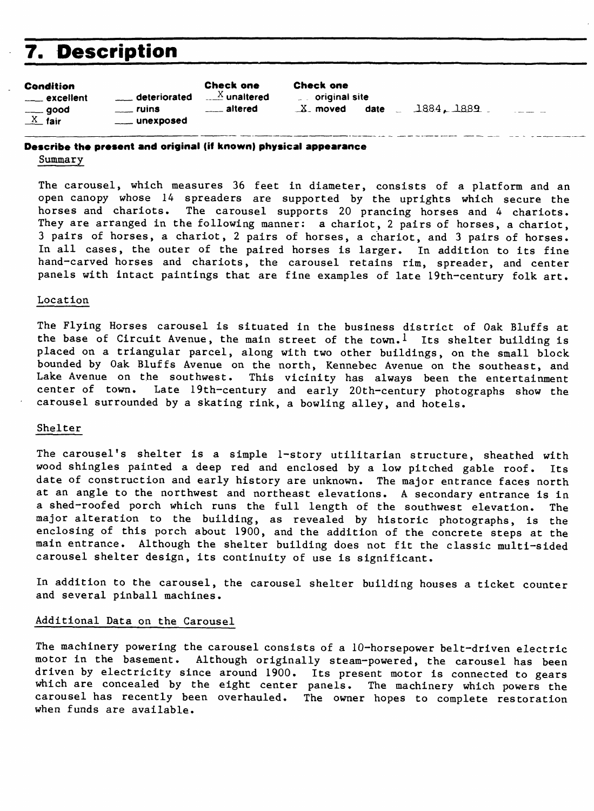## **7. Description**

| <b>Condition</b><br><u>__</u> __ excellent        | deteriorated                          | <b>Check one</b><br>$\mathbb{Z}$ unaltered | <b>Check one</b><br>$\overline{\phantom{a}}$ original site |            |  |
|---------------------------------------------------|---------------------------------------|--------------------------------------------|------------------------------------------------------------|------------|--|
| $\rule{1em}{0.15mm} - 900d$<br>$\frac{X}{X}$ fair | $\frac{1}{2}$ ruins<br>____ unexposed | <u>__</u> __ altered                       | date<br>$X$ moved                                          | 1884, 1889 |  |

#### **Describe the present and original (if known) physical appearance** Summary

The carousel, which measures 36 feet in diameter, consists of a platform and an open canopy whose 14 spreaders are supported by the uprights which secure the horses and chariots. The carousel supports 20 prancing horses and 4 chariots. They are arranged in the following manner: a chariot, 2 pairs of horses, a chariot, 3 pairs of horses, a chariot, 2 pairs of horses, a chariot, and 3 pairs of horses. In all cases, the outer of the paired horses is larger. In addition to its fine hand-carved horses and chariots, the carousel retains rim, spreader, and center panels with intact paintings that are fine examples of late 19th-century folk art.

#### Location

The Flying Horses carousel is situated in the business district of Oak Bluffs at the base of Circuit Avenue, the main street of the town.<sup>1</sup> Its shelter building is placed on a triangular parcel, along with two other buildings, on the small block bounded by Oak Bluffs Avenue on the north, Kennebec Avenue on the southeast, and Lake Avenue on the southwest. This vicinity has always been the entertainment<br>center of town. Late 19th-century and early 20th-century photographs show the Late 19th-century and early 20th-century photographs show the carousel surrounded by a skating rink, a bowling alley, and hotels.

#### Shelter

The carousel's shelter is a simple 1-story utilitarian structure, sheathed with wood shingles painted a deep red and enclosed by a low pitched gable roof. Its date of construction and early history are unknown. The major entrance faces north at an angle to the northwest and northeast elevations. A secondary entrance is in a shed-roofed porch which runs the full length of the southwest elevation. The major alteration to the building, as revealed by historic photographs, is the enclosing of this porch about 1900, and the addition of the concrete steps at the main entrance. Although the shelter building does not fit the classic multi-sided carousel shelter design, its continuity of use is significant.

In addition to the carousel, the carousel shelter building houses a ticket counter and several pinball machines.

#### Additional Data on the Carousel

The machinery powering the carousel consists of a 10-horsepower belt-driven electric motor in the basement. Although originally steam-powered, the carousel has been driven by electricity since around 1900. Its present motor is connected to gears which are concealed by the eight center panels. The machinery which powers the carousel has recently been overhauled. The owner hopes to complete restoration when funds are available.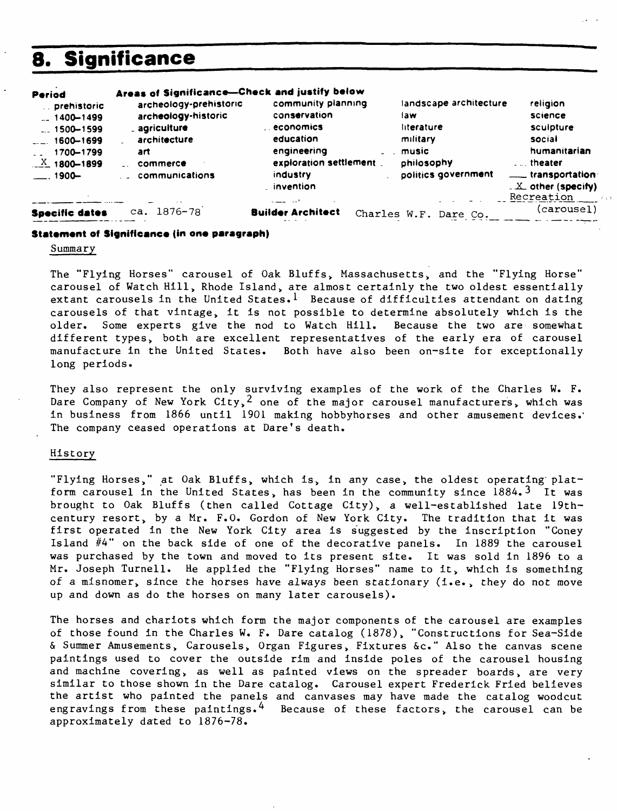## **8. Significance**

| Period<br>prehistoric<br>$-1400 - 1499$<br>$1500 - 1599$<br>1600-1699<br>1700-1799<br>$X$ 1800-1899<br>$-1900-$ | Areas of Significance-Check and justify below<br>archeology-prehistoric<br>archeology-historic<br>_ agriculture<br>architecture<br>art<br>commerce<br>communications | community planning<br>conservation<br>economics<br>education<br>engineering<br>exploration settlement<br>industry<br>. invention<br>المدار المستندات | landscape architecture<br>law<br>literature<br>military<br>music<br>philosophy<br>politics government | religion<br>science<br>sculpture<br>social<br>humanitarian<br>theater<br>___ transportation<br>$\angle X$ other (specify)<br>Recreation |
|-----------------------------------------------------------------------------------------------------------------|----------------------------------------------------------------------------------------------------------------------------------------------------------------------|------------------------------------------------------------------------------------------------------------------------------------------------------|-------------------------------------------------------------------------------------------------------|-----------------------------------------------------------------------------------------------------------------------------------------|
| <b>Specific dates</b>                                                                                           | ca. 1876-78                                                                                                                                                          | <b>Builder Architect</b>                                                                                                                             | Charles W.F.<br>Dare Co.                                                                              | (carousel)                                                                                                                              |

#### **Statement of Significance (in one paragraph)**

#### Summary

The "Flying Horses" carousel of Oak Bluffs, Massachusetts, and the "Flying Horse" carousel of Watch Hill, Rhode Island, are almost certainly the two oldest essentially extant carousels in the United States.<sup>1</sup> Because of difficulties attendant on dating carousels of that vintage, it is not possible to determine absolutely which is the older. Some experts give the nod to Watch Hill. Because the two are somewhat different types, both are excellent representatives of the early era of carousel manufacture in the United States. Both have also been on-site for exceptionally long periods.

They also represent the only surviving examples of the work of the Charles W. F. Dare Company of New York City,  $2$  one of the major carousel manufacturers, which was in business from 1866 until 1901 making hobbyhorses and other amusement devices.' The company ceased operations at Dare's death.

#### History

"Flying Horses," at Oak Bluffs, which is, in any case, the oldest operating platform carousel in the United States, has been in the community since  $1884.3$  It was brought to Oak Bluffs (then called Cottage City), a well-established late 19thcentury resort, by a Mr. F.O. Gordon of New York City. The tradition that it was first operated in the New York City area is suggested by the inscription "Coney Island  $#4"$  on the back side of one of the decorative panels. In 1889 the carousel was purchased by the town and moved to its present site. It was sold in 1896 to a Mr. Joseph Turnell. He applied the "Flying Horses" name to it, which is something of a misnomer, since the horses have always been stationary (i.e., they do not move up and down as do the horses on many later carousels).

The horses and chariots which form the major components of the carousel are examples of those found in the Charles W. F. Dare catalog (1878), "Constructions for Sea-Side & Summer Amusements, Carousels, Organ Figures, Fixtures &c." Also the canvas scene paintings used to cover the outside rim and inside poles of the carousel housing and machine covering, as well as painted views on the spreader boards, are very similar to those shown in the Dare catalog. Carousel expert Frederick Fried believes the artist who painted the panels and canvases may have made the catalog woodcut engravings from these paintings.<sup>4</sup> Because of these factors, the carousel can be approximately dated to 1876-78.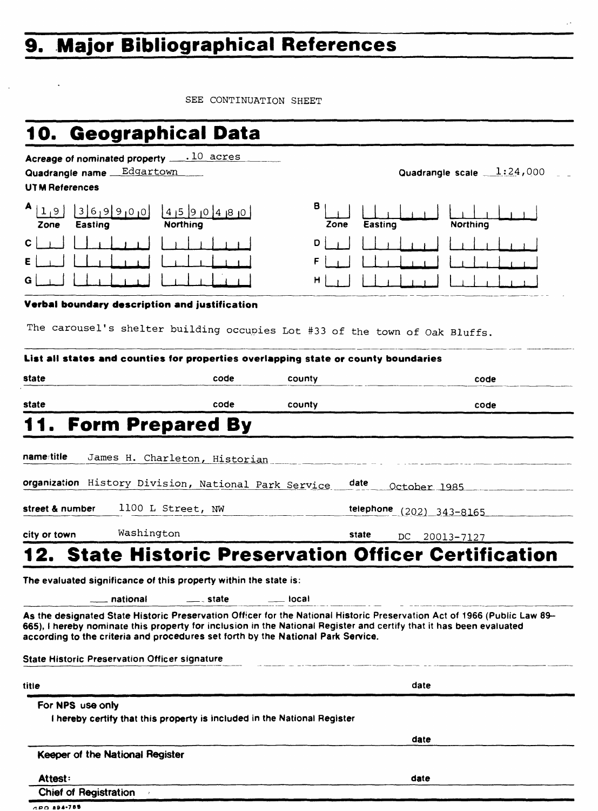# **9. Major Bibliographical References**

SEE CONTINUATION SHEET

| 10. Geographical Data                                                                                                                                                                                                                                           |                            |                      |                                                                                                                          |
|-----------------------------------------------------------------------------------------------------------------------------------------------------------------------------------------------------------------------------------------------------------------|----------------------------|----------------------|--------------------------------------------------------------------------------------------------------------------------|
| Acreage of nominated property $\dots$ 10 acres<br>Quadrangle name Edgartown<br><b>UTM References</b>                                                                                                                                                            |                            |                      | Quadrangle scale $1:24,000$                                                                                              |
| A 19<br>369900<br>Easting<br>Zone                                                                                                                                                                                                                               | 4 5 9 0 4 8 0 <br>Northing | в<br>Zone<br>Easting | Northing                                                                                                                 |
| с                                                                                                                                                                                                                                                               |                            | D<br>F               |                                                                                                                          |
| G                                                                                                                                                                                                                                                               |                            | н                    |                                                                                                                          |
| Verbal boundary description and justification<br>The carousel's shelter building occupies Lot #33 of the town of Oak Bluffs.                                                                                                                                    |                            |                      |                                                                                                                          |
| List all states and counties for properties overlapping state or county boundaries                                                                                                                                                                              |                            |                      |                                                                                                                          |
| state                                                                                                                                                                                                                                                           | code                       | county               | code                                                                                                                     |
| state                                                                                                                                                                                                                                                           | code                       | county               | code                                                                                                                     |
| <b>Form Prepared By</b><br>11.                                                                                                                                                                                                                                  |                            |                      |                                                                                                                          |
| organization History Division, National Park Service<br>street & number<br>1100 L Street, NW                                                                                                                                                                    |                            | date                 | October 1985<br>telephone (202) 343-8165                                                                                 |
| Washington<br>city or town                                                                                                                                                                                                                                      |                            | state                | DC.<br>20013-7127                                                                                                        |
| 12.                                                                                                                                                                                                                                                             |                            |                      | <b>State Historic Preservation Officer Certification</b>                                                                 |
| The evaluated significance of this property within the state is:                                                                                                                                                                                                |                            |                      |                                                                                                                          |
| national                                                                                                                                                                                                                                                        | __ _ state                 | local                |                                                                                                                          |
| 665), I hereby nominate this property for inclusion in the National Register and certify that it has been evaluated<br>according to the criteria and procedures set forth by the National Park Service.<br><b>State Historic Preservation Officer signature</b> |                            |                      | As the designated State Historic Preservation Officer for the National Historic Preservation Act of 1966 (Public Law 89- |
|                                                                                                                                                                                                                                                                 |                            |                      |                                                                                                                          |
| title                                                                                                                                                                                                                                                           |                            |                      | date                                                                                                                     |
| For NPS use only<br>I hereby certify that this property is included in the National Register                                                                                                                                                                    |                            |                      |                                                                                                                          |
|                                                                                                                                                                                                                                                                 |                            |                      | date                                                                                                                     |
| Keeper of the National Register                                                                                                                                                                                                                                 |                            |                      |                                                                                                                          |
| Attest:                                                                                                                                                                                                                                                         |                            |                      | date                                                                                                                     |
| <b>Chief of Registration</b>                                                                                                                                                                                                                                    |                            |                      |                                                                                                                          |

GPO 894-785

 $\ddot{\phantom{a}}$ 

 $\bar{z}$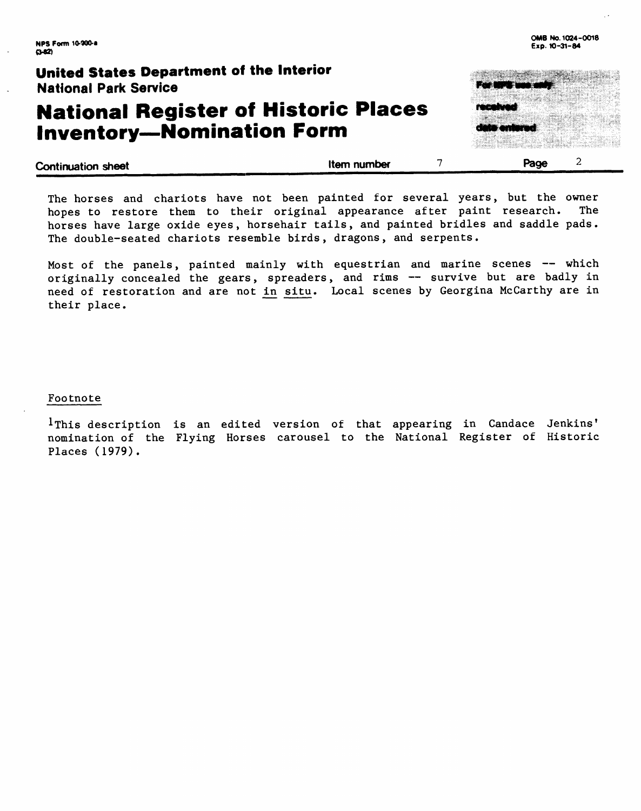### **United States Department of the Interior** National Park Service

# **National Register of Historic Places**  National Park Service<br>**National Register of Historic<br>Inventory—Nomination Form**

| <b>Continuation sheet</b> | Item number | Page |
|---------------------------|-------------|------|
|                           |             |      |

The horses and chariots have not been painted for several years, but the owner hopes to restore them to their original appearance after paint research. The horses have large oxide eyes, horsehair tails, and painted bridles and saddle pads. The double-seated chariots resemble birds, dragons, and serpents.

Most of the panels, painted mainly with equestrian and marine scenes -- which originally concealed the gears, spreaders, and rims -- survive but are badly in need of restoration and are not in situ. Local scenes by Georgina McCarthy are in their place.

#### Footnote

I This description is an edited version of that appearing in Candace Jenkins' nomination of the Flying Horses carousel to the National Register of Historic Places (1979).